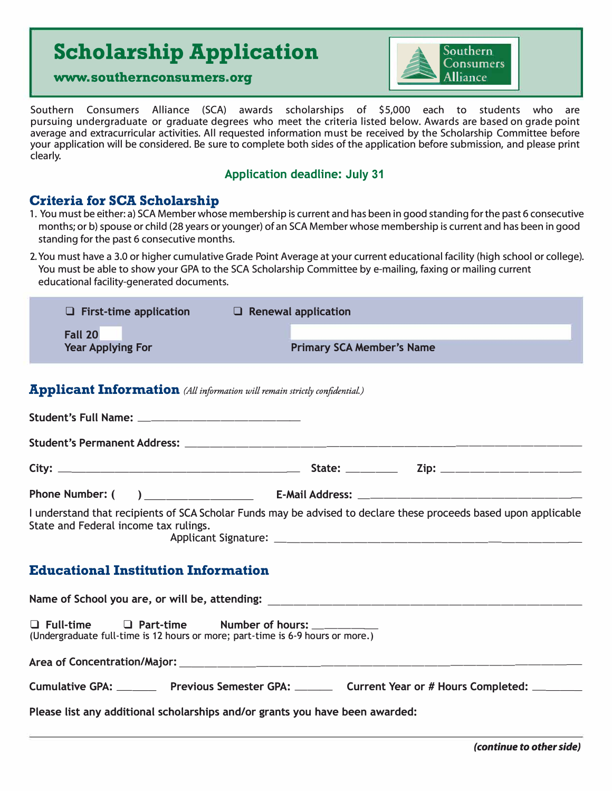# **Scholarship Application Scholarship Application**<br>www.southernconsumers.org **● Alliance**



Southern Consumers Alliance (SCA) awards scholarships of \$5,000 each to students who are pursuing undergraduate or graduate degrees who meet the criteria listed below. Awards are based on grade point average and extracurricular activities. All requested information must be received by the Scholarship Committee before your application will be considered. Be sure to complete both sides of the application before submission, and please print clearly.

#### **Application deadline: July 31**

### **Criteria for SCA Scholarship**

- 1. You must be either: a) SCA Member whose membership is current and has been in good standing for the past 6 consecutive months; or b) spouse or child (28 years or younger) of an SCA Member whose membership is current and has been in good standing for the past 6 consecutive months.
- 2. You must have a 3.0 or higher cumulative Grade Point Average at your current educational facility (high school or college). You must be able to show your GPA to the SCA Scholarship Committee by e-mailing, faxing or mailing current educational facility-generated documents.

| $\Box$ First-time application              | $\Box$ Renewal application       |  |
|--------------------------------------------|----------------------------------|--|
| <b>Fall 20</b><br><b>Year Applying For</b> | <b>Primary SCA Member's Name</b> |  |

#### **Applicant Information** *(All information will remain strictly confidential.)*

| I understand that recipients of SCA Scholar Funds may be advised to declare these proceeds based upon applicable<br>State and Federal income tax rulings. |  |  |
|-----------------------------------------------------------------------------------------------------------------------------------------------------------|--|--|
| <b>Educational Institution Information</b>                                                                                                                |  |  |
|                                                                                                                                                           |  |  |
| □ Full-time □ Part-time Number of hours: ________<br>(Undergraduate full-time is 12 hours or more; part-time is 6-9 hours or more.)                       |  |  |
|                                                                                                                                                           |  |  |
| Cumulative GPA: __________ Previous Semester GPA: _________ Current Year or # Hours Completed: _________                                                  |  |  |
| Please list any additional scholarships and/or grants you have been awarded:                                                                              |  |  |